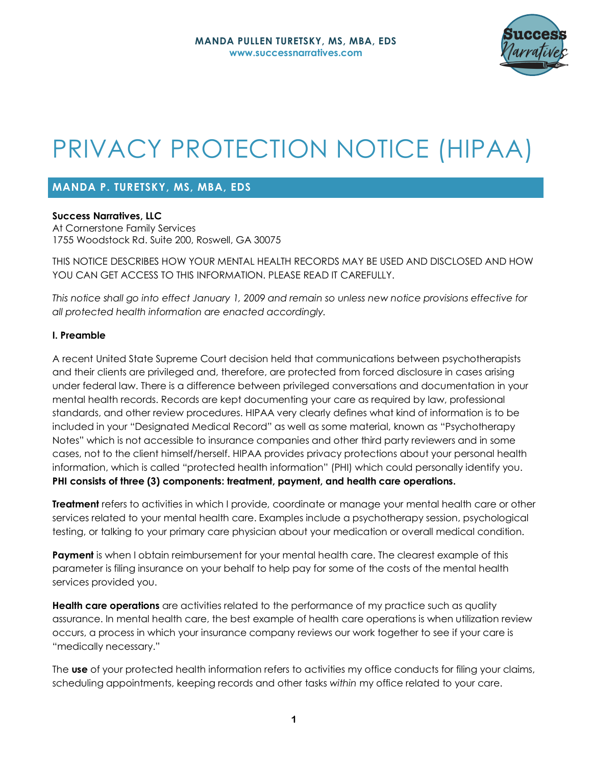

# PRIVACY PROTECTION NOTICE (HIPAA)

## **MANDA P. TURETSKY, MS, MBA, EDS**

**Success Narratives, LLC**

At Cornerstone Family Services 1755 Woodstock Rd. Suite 200, Roswell, GA 30075

THIS NOTICE DESCRIBES HOW YOUR MENTAL HEALTH RECORDS MAY BE USED AND DISCLOSED AND HOW YOU CAN GET ACCESS TO THIS INFORMATION. PLEASE READ IT CAREFULLY.

*This notice shall go into effect January 1, 2009 and remain so unless new notice provisions effective for all protected health information are enacted accordingly.*

#### **I. Preamble**

A recent United State Supreme Court decision held that communications between psychotherapists and their clients are privileged and, therefore, are protected from forced disclosure in cases arising under federal law. There is a difference between privileged conversations and documentation in your mental health records. Records are kept documenting your care as required by law, professional standards, and other review procedures. HIPAA very clearly defines what kind of information is to be included in your "Designated Medical Record" as well as some material, known as "Psychotherapy Notes" which is not accessible to insurance companies and other third party reviewers and in some cases, not to the client himself/herself. HIPAA provides privacy protections about your personal health information, which is called "protected health information" (PHI) which could personally identify you. **PHI consists of three (3) components: treatment, payment, and health care operations.**

**Treatment** refers to activities in which I provide, coordinate or manage your mental health care or other services related to your mental health care. Examples include a psychotherapy session, psychological testing, or talking to your primary care physician about your medication or overall medical condition.

**Payment** is when I obtain reimbursement for your mental health care. The clearest example of this parameter is filing insurance on your behalf to help pay for some of the costs of the mental health services provided you.

**Health care operations** are activities related to the performance of my practice such as quality assurance. In mental health care, the best example of health care operations is when utilization review occurs, a process in which your insurance company reviews our work together to see if your care is "medically necessary."

The **use** of your protected health information refers to activities my office conducts for filing your claims, scheduling appointments, keeping records and other tasks *within* my office related to your care.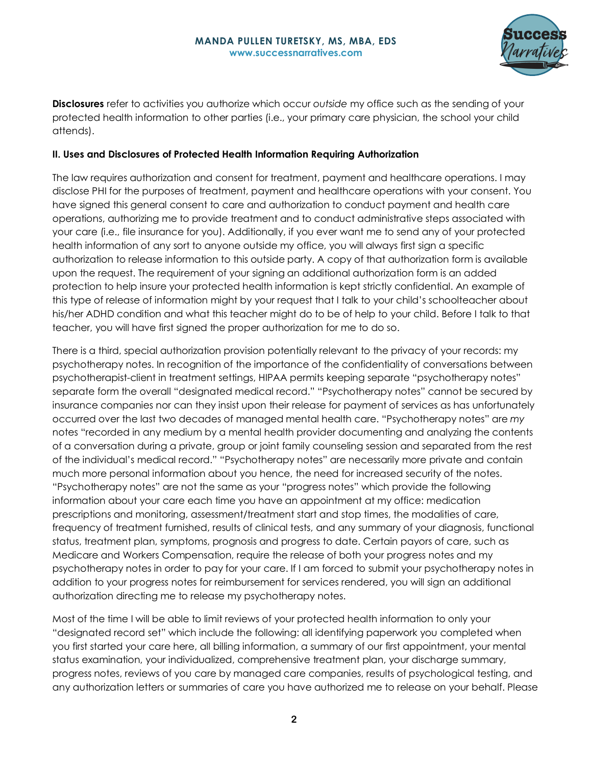

**Disclosures** refer to activities you authorize which occur *outside* my office such as the sending of your protected health information to other parties (i.e., your primary care physician, the school your child attends).

#### **II. Uses and Disclosures of Protected Health Information Requiring Authorization**

The law requires authorization and consent for treatment, payment and healthcare operations. I may disclose PHI for the purposes of treatment, payment and healthcare operations with your consent. You have signed this general consent to care and authorization to conduct payment and health care operations, authorizing me to provide treatment and to conduct administrative steps associated with your care (i.e., file insurance for you). Additionally, if you ever want me to send any of your protected health information of any sort to anyone outside my office, you will always first sign a specific authorization to release information to this outside party. A copy of that authorization form is available upon the request. The requirement of your signing an additional authorization form is an added protection to help insure your protected health information is kept strictly confidential. An example of this type of release of information might by your request that I talk to your child's schoolteacher about his/her ADHD condition and what this teacher might do to be of help to your child. Before I talk to that teacher, you will have first signed the proper authorization for me to do so.

There is a third, special authorization provision potentially relevant to the privacy of your records: my psychotherapy notes. In recognition of the importance of the confidentiality of conversations between psychotherapist-client in treatment settings, HIPAA permits keeping separate "psychotherapy notes" separate form the overall "designated medical record." "Psychotherapy notes" cannot be secured by insurance companies nor can they insist upon their release for payment of services as has unfortunately occurred over the last two decades of managed mental health care. "Psychotherapy notes" are *my*  notes "recorded in any medium by a mental health provider documenting and analyzing the contents of a conversation during a private, group or joint family counseling session and separated from the rest of the individual's medical record." "Psychotherapy notes" are necessarily more private and contain much more personal information about you hence, the need for increased security of the notes. "Psychotherapy notes" are not the same as your "progress notes" which provide the following information about your care each time you have an appointment at my office: medication prescriptions and monitoring, assessment/treatment start and stop times, the modalities of care, frequency of treatment furnished, results of clinical tests, and any summary of your diagnosis, functional status, treatment plan, symptoms, prognosis and progress to date. Certain payors of care, such as Medicare and Workers Compensation, require the release of both your progress notes and my psychotherapy notes in order to pay for your care. If I am forced to submit your psychotherapy notes in addition to your progress notes for reimbursement for services rendered, you will sign an additional authorization directing me to release my psychotherapy notes.

Most of the time I will be able to limit reviews of your protected health information to only your "designated record set" which include the following: all identifying paperwork you completed when you first started your care here, all billing information, a summary of our first appointment, your mental status examination, your individualized, comprehensive treatment plan, your discharge summary, progress notes, reviews of you care by managed care companies, results of psychological testing, and any authorization letters or summaries of care you have authorized me to release on your behalf. Please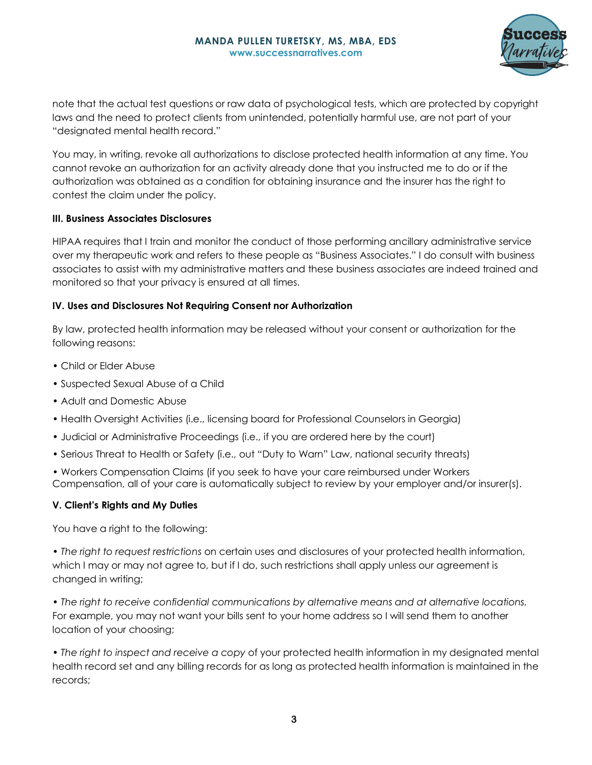

note that the actual test questions or raw data of psychological tests, which are protected by copyright laws and the need to protect clients from unintended, potentially harmful use, are not part of your "designated mental health record."

You may, in writing, revoke all authorizations to disclose protected health information at any time. You cannot revoke an authorization for an activity already done that you instructed me to do or if the authorization was obtained as a condition for obtaining insurance and the insurer has the right to contest the claim under the policy.

#### **III. Business Associates Disclosures**

HIPAA requires that I train and monitor the conduct of those performing ancillary administrative service over my therapeutic work and refers to these people as "Business Associates." I do consult with business associates to assist with my administrative matters and these business associates are indeed trained and monitored so that your privacy is ensured at all times.

#### **IV. Uses and Disclosures Not Requiring Consent nor Authorization**

By law, protected health information may be released without your consent or authorization for the following reasons:

- Child or Elder Abuse
- Suspected Sexual Abuse of a Child
- Adult and Domestic Abuse
- Health Oversight Activities (i.e., licensing board for Professional Counselors in Georgia)
- Judicial or Administrative Proceedings (i.e., if you are ordered here by the court)
- Serious Threat to Health or Safety (i.e., out "Duty to Warn" Law, national security threats)
- Workers Compensation Claims (if you seek to have your care reimbursed under Workers Compensation, all of your care is automatically subject to review by your employer and/or insurer(s).

#### **V. Client's Rights and My Duties**

You have a right to the following:

• *The right to request restrictions* on certain uses and disclosures of your protected health information, which I may or may not agree to, but if I do, such restrictions shall apply unless our agreement is changed in writing;

• *The right to receive confidential communications by alternative means and at alternative locations.*  For example, you may not want your bills sent to your home address so I will send them to another location of your choosing;

• *The right to inspect and receive a copy* of your protected health information in my designated mental health record set and any billing records for as long as protected health information is maintained in the records;